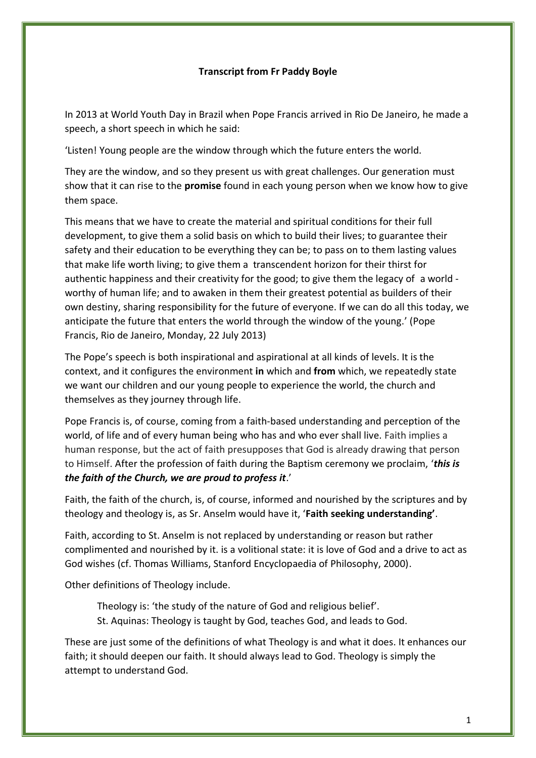## **Transcript from Fr Paddy Boyle**

In 2013 at World Youth Day in Brazil when Pope Francis arrived in Rio De Janeiro, he made a speech, a short speech in which he said:

'Listen! Young people are the window through which the future enters the world.

They are the window, and so they present us with great challenges. Our generation must show that it can rise to the **promise** found in each young person when we know how to give them space.

This means that we have to create the material and spiritual conditions for their full development, to give them a solid basis on which to build their lives; to guarantee their safety and their education to be everything they can be; to pass on to them lasting values that make life worth living; to give them a transcendent horizon for their thirst for authentic happiness and their creativity for the good; to give them the legacy of a world worthy of human life; and to awaken in them their greatest potential as builders of their own destiny, sharing responsibility for the future of everyone. If we can do all this today, we anticipate the future that enters the world through the window of the young.' (Pope Francis, Rio de Janeiro, Monday, 22 July 2013)

The Pope's speech is both inspirational and aspirational at all kinds of levels. It is the context, and it configures the environment **in** which and **from** which, we repeatedly state we want our children and our young people to experience the world, the church and themselves as they journey through life.

Pope Francis is, of course, coming from a faith-based understanding and perception of the world, of life and of every human being who has and who ever shall live. Faith implies a human response, but the act of faith presupposes that God is already drawing that person to Himself. After the profession of faith during the Baptism ceremony we proclaim, '*this is the faith of the Church, we are proud to profess it*.'

Faith, the faith of the church, is, of course, informed and nourished by the scriptures and by theology and theology is, as Sr. Anselm would have it, '**Faith seeking understanding'**.

Faith, according to St. Anselm is not replaced by understanding or reason but rather complimented and nourished by it. is a volitional state: it is love of God and a drive to act as God wishes (cf. Thomas Williams, Stanford Encyclopaedia of Philosophy, 2000).

Other definitions of Theology include.

Theology is: 'the study of the nature of God and religious belief'. St. Aquinas: Theology is taught by God, teaches God, and leads to God.

These are just some of the definitions of what Theology is and what it does. It enhances our faith; it should deepen our faith. It should always lead to God. Theology is simply the attempt to understand God.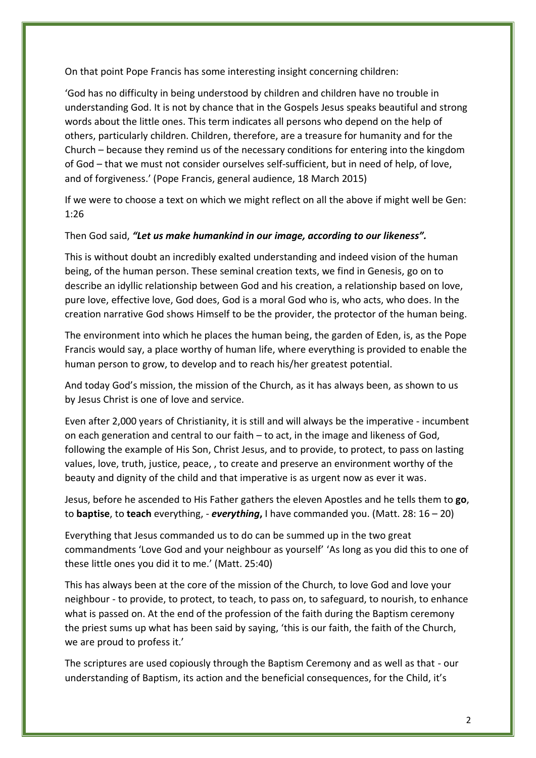On that point Pope Francis has some interesting insight concerning children:

'God has no difficulty in being understood by children and children have no trouble in understanding God. It is not by chance that in the Gospels Jesus speaks beautiful and strong words about the little ones. This term indicates all persons who depend on the help of others, particularly children. Children, therefore, are a treasure for humanity and for the Church – because they remind us of the necessary conditions for entering into the kingdom of God – that we must not consider ourselves self-sufficient, but in need of help, of love, and of forgiveness.' (Pope Francis, general audience, 18 March 2015)

If we were to choose a text on which we might reflect on all the above if might well be Gen: 1:26

## Then God said, "Let us make humankind in our *image, according to our likeness"*.

This is without doubt an incredibly exalted understanding and indeed vision of the human being, of the human person. These seminal creation texts, we find in Genesis, go on to describe an idyllic relationship between God and his creation, a relationship based on love, pure love, effective love, God does, God is a moral God who is, who acts, who does. In the creation narrative God shows Himself to be the provider, the protector of the human being.

The environment into which he places the human being, the garden of Eden, is, as the Pope Francis would say, a place worthy of human life, where everything is provided to enable the human person to grow, to develop and to reach his/her greatest potential.

And today God's mission, the mission of the Church, as it has always been, as shown to us by Jesus Christ is one of love and service.

Even after 2,000 years of Christianity, it is still and will always be the imperative - incumbent on each generation and central to our faith – to act, in the image and likeness of God, following the example of His Son, Christ Jesus, and to provide, to protect, to pass on lasting values, love, truth, justice, peace, , to create and preserve an environment worthy of the beauty and dignity of the child and that imperative is as urgent now as ever it was.

Jesus, before he ascended to His Father gathers the eleven Apostles and he tells them to **go**, to **baptise**, to **teach** everything, - *everything***,** I have commanded you. (Matt. 28: 16 – 20)

Everything that Jesus commanded us to do can be summed up in the two great commandments 'Love God and your neighbour as yourself' 'As long as you did this to one of these little ones you did it to me.' (Matt. 25:40)

This has always been at the core of the mission of the Church, to love God and love your neighbour - to provide, to protect, to teach, to pass on, to safeguard, to nourish, to enhance what is passed on. At the end of the profession of the faith during the Baptism ceremony the priest sums up what has been said by saying, 'this is our faith, the faith of the Church, we are proud to profess it.'

The scriptures are used copiously through the Baptism Ceremony and as well as that - our understanding of Baptism, its action and the beneficial consequences, for the Child, it's